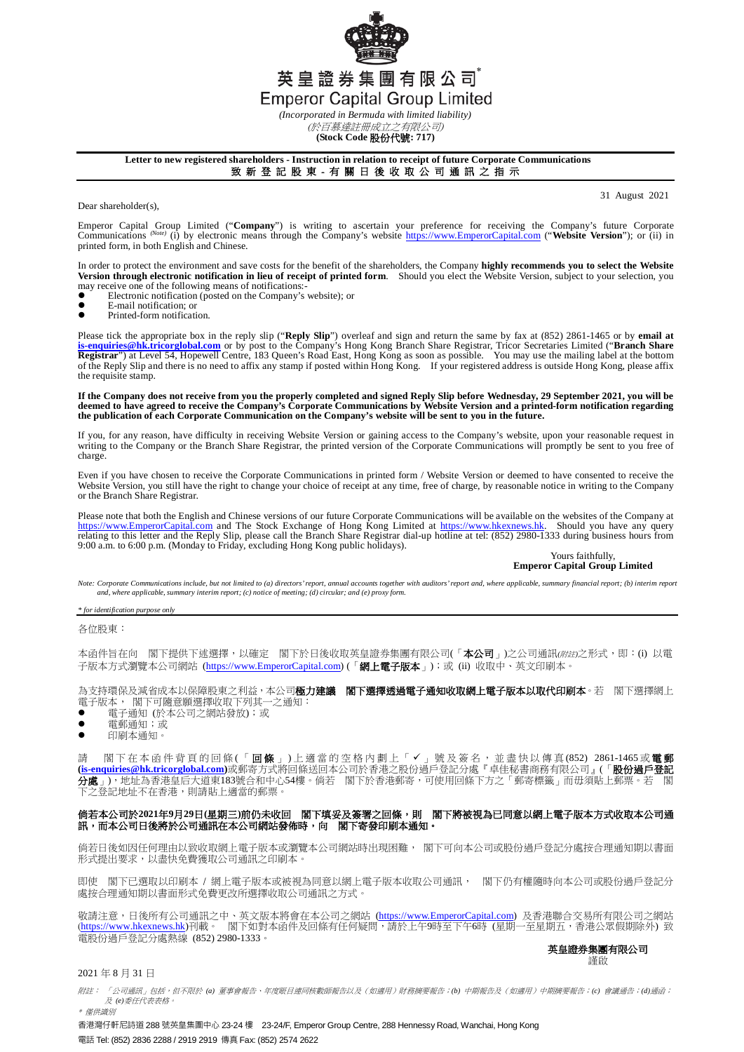英皇證券集團有限公司 **Emperor Capital Group Limited** 

*(Incorporated in Bermuda with limited liability)* (於百慕達註冊成立之有限公司)

**(Stock Code** 股份代號**: 717)**

#### **Letter to new registered shareholders - Instruction in relation to receipt of future Corporate Communications**

致 新 登 記 股 東 - 有 關 日 後 收 取 公 司 通 訊 之 指 示

Dear shareholder(s),

31 August 2021

Emperor Capital Group Limited ("**Company**") is writing to ascertain your preference for receiving the Company's future Corporate Company's future Corporate Company's enterpretively (i) by electronic means through the Compa printed form, in both English and Chinese.

In order to protect the environment and save costs for the benefit of the shareholders, the Company **highly recommends you to select the Website Version through electronic notification in lieu of receipt of printed form**. Should you elect the Website Version, subject to your selection, you may receive one of the following means of notifications:

- $\bullet$  Electronic notification (posted on the Company's website); or
- E-mail notification; or<br>• Printed-form notificati
- Printed-form notification.

Please tick the appropriate box in the reply slip ("**Reply Slip**") overleaf and sign and return the same by fax at (852) 2861-1465 or by **email at**  <mark>[is-enquiries@hk.tricorglobal.com](mailto:is-enquiries@hk.tricorglobal.com)</mark> or by post to the Company's Hong Kong Branch Share Registrar, Tricor Secretaries Limited ("**Branch Share**<br>Registrar") at Level 54, Hopewell Centre, 183 Queen's Road East, Hong Kong as soo of the Reply Slip and there is no need to affix any stamp if posted within Hong Kong. If your registered address is outside Hong Kong, please affix the requisite stamp.

If the Company does not receive from you the properly completed and signed Reply Slip before Wednesday, 29 September 2021, you will be<br>deemed to have agreed to receive the Company's Corporate Communications by Website Vers

If you, for any reason, have difficulty in receiving Website Version or gaining access to the Company's website, upon your reasonable request in<br>writing to the Company or the Branch Share Registrar, the printed version of charge.

Even if you have chosen to receive the Corporate Communications in printed form / Website Version or deemed to have consented to receive the Website Version, you still have the right to change your choice of receipt at any time, free of charge, by reasonable notice in writing to the Company or the Branch Share Registrar.

Please note that both the English and Chinese versions of our future Corporate Communications will be available on the websites of the Company at [https://www.EmperorCapital.com](https://www.emperorcapital.com/) and The Stock Exchange of Hong Kong Limited at [https://www.hkexnews.hk.](https://www.hkexnews.hk/) Should you have any query<br>relating to this letter and the Reply Slip, please call the Branch Share Registrar dial-up ho 9:00 a.m. to 6:00 p.m. (Monday to Friday, excluding Hong Kong public holidays).

Yours faithfully **Emperor Capital Group Limited**

Note: Corporate Communications include, but not limited to (a) directors' report, annual accounts together with auditors' report and, where applicable, summary financial report; (b) interim report<br>and, where applicable, su

*\* for identification purpose only*

各位股東:

本函件旨在向 閣下提供下述選擇,以確定 閣下於日後收取英皇證券集團有限公司(「本公司」)之公司通訊(附註之形式,即:(i) 以電 子版本方式瀏覽本公司網站 [\(https://www.EmperorCapital.com\)](https://www.emperorcapital.com/) (「**網上電子版本**」);或 (ii) 收取中、英文印刷本。

為支持環保及減省成本以保障股東之利益,本公司極力建議 閣下選擇透過電子通知收取網上電子版本以取代印刷本。若 閣下選擇網上 電子版本, 閣下可隨意願選擇收取下列其一之通知:

- 電子通知 (於本公司之網站發放);或
- 電郵通知;或
- 印刷本通知。

請 閣下在本函件背頁的回條(「回條」)上適當的空格內劃上「✔」號及簽名,並盡快以傳真(852) 2861-1465或**電郵 [\(is-enquiries@hk.tricorglobal.com\)](mailto:is-enquiries@hk.tricorglobal.com)**或郵寄方式將回條送回本公司於香港之股份過戶登記分處『卓佳秘書商務有限公司』(「股份過戶登記 分處」),地址為香港皇后大道東183號合和中心54樓。倘若 閣下於香港郵寄,可使用回條下方之「郵寄標籤」而毋須貼上郵票。若 閣 下之登記地址不在香港,則請貼上適當的郵票

### 倘若本公司於**2021**年**9**月**29**日**(**星期三**)**前仍未收回 閣下填妥及簽署之回條,則 閣下將被視為已同意以網上電子版本方式收取本公司通 訊,而本公司日後將於公司通訊在本公司網站發佈時,向 閣下寄發印刷本通知。

倘若日後如因任何理由以致收取網上電子版本或瀏覽本公司網站時出現困難, 閣下可向本公司或股份過戶登記分處按合理通知期以書面 形式提出要求,以盡快免費獲取公司通訊之印刷本。

即使 閣下已選取以印刷本 / 網上電子版本或被視為同意以網上電子版本收取公司通訊, 閣下仍有權隨時向本公司或股份過戶登記分 處按合理通知期以書面形式免費更改所選擇收取公司通訊之方式。

敬請注意,日後所有公司通訊之中、英文版本將會在本公司之網站 (<u>https://www.EmperorCapital.com</u>) 及香港聯合交易所有限公司之網站 (<u>https://www.hkexnews.hk</u>)刊載。 閣下如對本函件及回條有任何疑問,請於上午9時至下午6時(星期一至星期五,香港公眾假期除外) 致 電股份過戶登記分處熱線 (852) 2980-1333。

英皇證券集團有限公司 謹啟

2021 年 8 月 31 日

附註: 「公司通訊」包括,但不限於 *(a)* 董事會報告、年度賬目連同核數師報告以及(如適用)財務摘要報告;*(b)* 中期報告及(如適用)中期摘要報告;*(c)* 會議通告;*(d)*通函; 及 *(e)*委任代表表格。 \* 僅供識別

香港灣仔軒尼詩道 288 號英皇集團中心 23-24 樓 23-24/F, Emperor Group Centre, 288 Hennessy Road, Wanchai, Hong Kong 電話 Tel: (852) 2836 2288 / 2919 2919 傳真 Fax: (852) 2574 2622